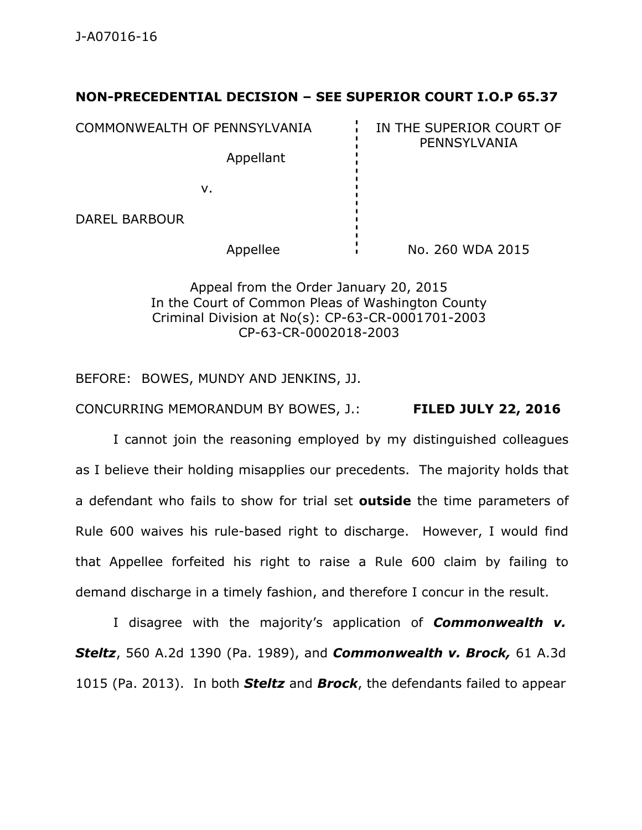## **NON-PRECEDENTIAL DECISION – SEE SUPERIOR COURT I.O.P 65.37**

COMMONWEALTH OF PENNSYLVANIA **IN THE SUPERIOR COURT OF** 

PENNSYLVANIA

v.

DAREL BARBOUR

Appellant

Appellee  $\overrightarrow{N}$  No. 260 WDA 2015

Appeal from the Order January 20, 2015 In the Court of Common Pleas of Washington County Criminal Division at No(s): CP-63-CR-0001701-2003 CP-63-CR-0002018-2003

BEFORE: BOWES, MUNDY AND JENKINS, JJ.

CONCURRING MEMORANDUM BY BOWES, J.: **FILED JULY 22, 2016**

I cannot join the reasoning employed by my distinguished colleagues as I believe their holding misapplies our precedents. The majority holds that a defendant who fails to show for trial set **outside** the time parameters of Rule 600 waives his rule-based right to discharge. However, I would find that Appellee forfeited his right to raise a Rule 600 claim by failing to demand discharge in a timely fashion, and therefore I concur in the result.

I disagree with the majority's application of *Commonwealth v. Steltz*, 560 A.2d 1390 (Pa. 1989), and *Commonwealth v. Brock,* 61 A.3d 1015 (Pa. 2013). In both *Steltz* and *Brock*, the defendants failed to appear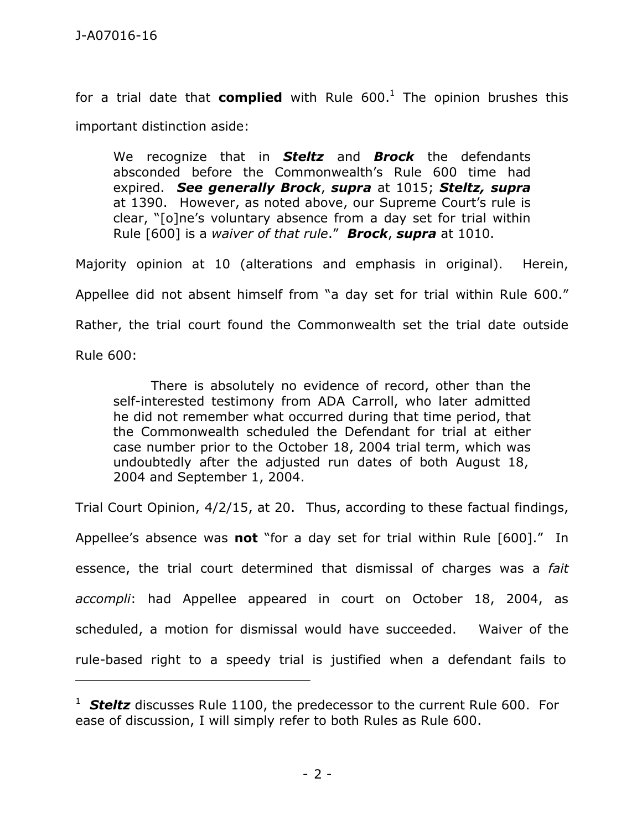for a trial date that **complied** with Rule 600. <sup>1</sup> The opinion brushes this important distinction aside:

We recognize that in *Steltz* and *Brock* the defendants absconded before the Commonwealth's Rule 600 time had expired. *See generally Brock*, *supra* at 1015; *Steltz, supra* at 1390. However, as noted above, our Supreme Court's rule is clear, "[o]ne's voluntary absence from a day set for trial within Rule [600] is a *waiver of that rule*." *Brock*, *supra* at 1010.

Majority opinion at 10 (alterations and emphasis in original). Herein, Appellee did not absent himself from "a day set for trial within Rule 600." Rather, the trial court found the Commonwealth set the trial date outside

Rule 600:

There is absolutely no evidence of record, other than the self-interested testimony from ADA Carroll, who later admitted he did not remember what occurred during that time period, that the Commonwealth scheduled the Defendant for trial at either case number prior to the October 18, 2004 trial term, which was undoubtedly after the adjusted run dates of both August 18, 2004 and September 1, 2004.

Trial Court Opinion, 4/2/15, at 20. Thus, according to these factual findings,

Appellee's absence was **not** "for a day set for trial within Rule [600]." In essence, the trial court determined that dismissal of charges was a *fait accompli*: had Appellee appeared in court on October 18, 2004, as scheduled, a motion for dismissal would have succeeded. Waiver of the rule-based right to a speedy trial is justified when a defendant fails to

<sup>&</sup>lt;sup>1</sup> **Steltz** discusses Rule 1100, the predecessor to the current Rule 600. For ease of discussion, I will simply refer to both Rules as Rule 600.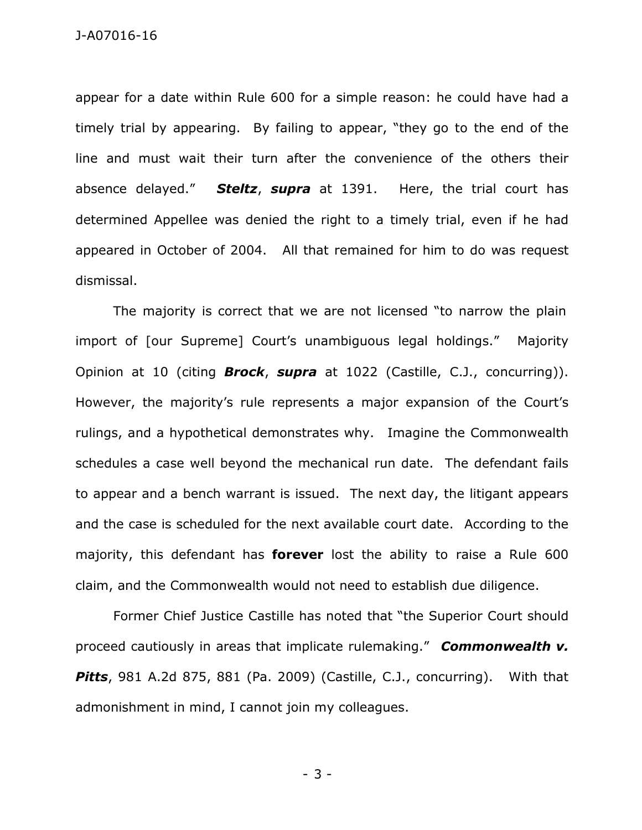appear for a date within Rule 600 for a simple reason: he could have had a timely trial by appearing. By failing to appear, "they go to the end of the line and must wait their turn after the convenience of the others their absence delayed." *Steltz*, *supra* at 1391. Here, the trial court has determined Appellee was denied the right to a timely trial, even if he had appeared in October of 2004. All that remained for him to do was request dismissal.

The majority is correct that we are not licensed "to narrow the plain import of [our Supreme] Court's unambiguous legal holdings." Majority Opinion at 10 (citing *Brock*, *supra* at 1022 (Castille, C.J., concurring)). However, the majority's rule represents a major expansion of the Court's rulings, and a hypothetical demonstrates why. Imagine the Commonwealth schedules a case well beyond the mechanical run date. The defendant fails to appear and a bench warrant is issued. The next day, the litigant appears and the case is scheduled for the next available court date. According to the majority, this defendant has **forever** lost the ability to raise a Rule 600 claim, and the Commonwealth would not need to establish due diligence.

Former Chief Justice Castille has noted that "the Superior Court should proceed cautiously in areas that implicate rulemaking." *Commonwealth v.* **Pitts**, 981 A.2d 875, 881 (Pa. 2009) (Castille, C.J., concurring). With that admonishment in mind, I cannot join my colleagues.

- 3 -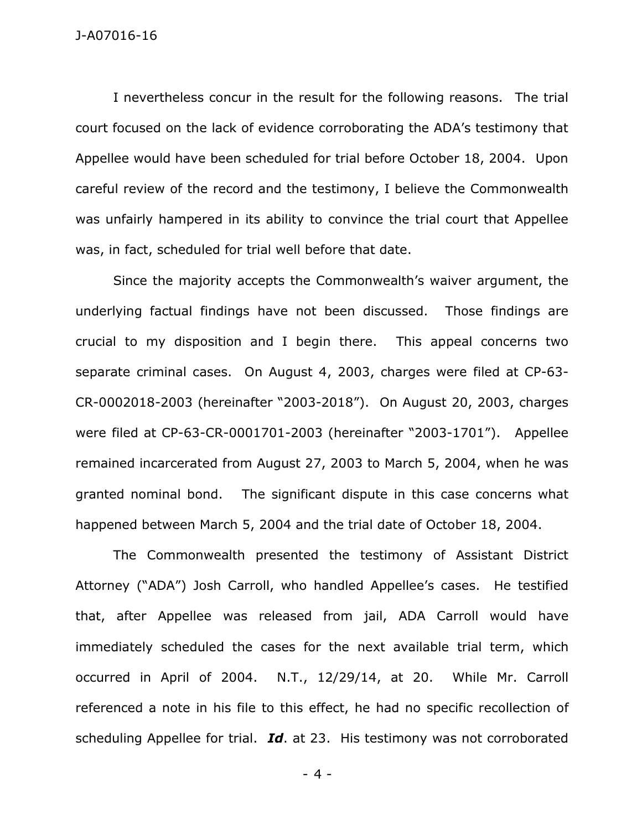I nevertheless concur in the result for the following reasons. The trial court focused on the lack of evidence corroborating the ADA's testimony that Appellee would have been scheduled for trial before October 18, 2004. Upon careful review of the record and the testimony, I believe the Commonwealth was unfairly hampered in its ability to convince the trial court that Appellee was, in fact, scheduled for trial well before that date.

Since the majority accepts the Commonwealth's waiver argument, the underlying factual findings have not been discussed. Those findings are crucial to my disposition and I begin there. This appeal concerns two separate criminal cases. On August 4, 2003, charges were filed at CP-63- CR-0002018-2003 (hereinafter "2003-2018"). On August 20, 2003, charges were filed at CP-63-CR-0001701-2003 (hereinafter "2003-1701"). Appellee remained incarcerated from August 27, 2003 to March 5, 2004, when he was granted nominal bond. The significant dispute in this case concerns what happened between March 5, 2004 and the trial date of October 18, 2004.

The Commonwealth presented the testimony of Assistant District Attorney ("ADA") Josh Carroll, who handled Appellee's cases. He testified that, after Appellee was released from jail, ADA Carroll would have immediately scheduled the cases for the next available trial term, which occurred in April of 2004. N.T., 12/29/14, at 20. While Mr. Carroll referenced a note in his file to this effect, he had no specific recollection of scheduling Appellee for trial. *Id*. at 23. His testimony was not corroborated

- 4 -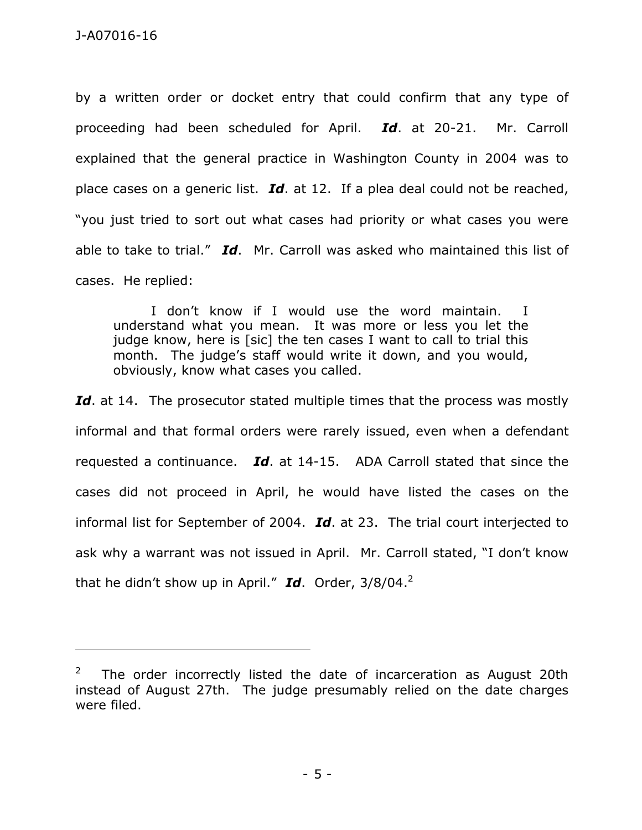by a written order or docket entry that could confirm that any type of proceeding had been scheduled for April. *Id*. at 20-21. Mr. Carroll explained that the general practice in Washington County in 2004 was to place cases on a generic list. *Id*. at 12. If a plea deal could not be reached, "you just tried to sort out what cases had priority or what cases you were able to take to trial." *Id*. Mr. Carroll was asked who maintained this list of cases. He replied:

I don't know if I would use the word maintain. I understand what you mean. It was more or less you let the judge know, here is [sic] the ten cases I want to call to trial this month. The judge's staff would write it down, and you would, obviously, know what cases you called.

Id. at 14. The prosecutor stated multiple times that the process was mostly informal and that formal orders were rarely issued, even when a defendant requested a continuance. *Id*. at 14-15. ADA Carroll stated that since the cases did not proceed in April, he would have listed the cases on the informal list for September of 2004. *Id*. at 23. The trial court interjected to ask why a warrant was not issued in April. Mr. Carroll stated, "I don't know that he didn't show up in April." *Id*. Order, 3/8/04. 2

 $2^2$  The order incorrectly listed the date of incarceration as August 20th instead of August 27th. The judge presumably relied on the date charges were filed.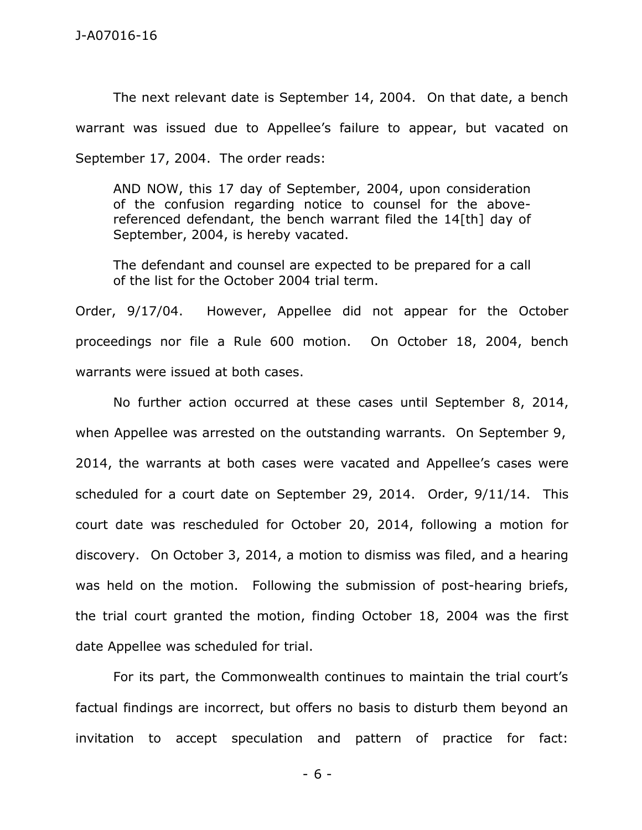The next relevant date is September 14, 2004. On that date, a bench warrant was issued due to Appellee's failure to appear, but vacated on September 17, 2004. The order reads:

AND NOW, this 17 day of September, 2004, upon consideration of the confusion regarding notice to counsel for the abovereferenced defendant, the bench warrant filed the 14[th] day of September, 2004, is hereby vacated.

The defendant and counsel are expected to be prepared for a call of the list for the October 2004 trial term.

Order, 9/17/04. However, Appellee did not appear for the October proceedings nor file a Rule 600 motion. On October 18, 2004, bench warrants were issued at both cases.

No further action occurred at these cases until September 8, 2014, when Appellee was arrested on the outstanding warrants. On September 9, 2014, the warrants at both cases were vacated and Appellee's cases were scheduled for a court date on September 29, 2014. Order, 9/11/14. This court date was rescheduled for October 20, 2014, following a motion for discovery. On October 3, 2014, a motion to dismiss was filed, and a hearing was held on the motion. Following the submission of post-hearing briefs, the trial court granted the motion, finding October 18, 2004 was the first date Appellee was scheduled for trial.

For its part, the Commonwealth continues to maintain the trial court's factual findings are incorrect, but offers no basis to disturb them beyond an invitation to accept speculation and pattern of practice for fact:

- 6 -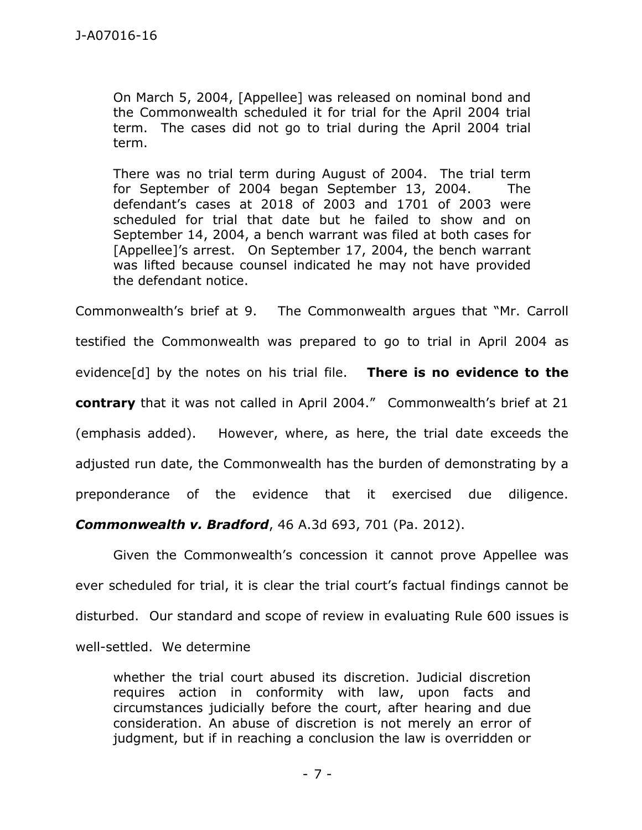On March 5, 2004, [Appellee] was released on nominal bond and the Commonwealth scheduled it for trial for the April 2004 trial term. The cases did not go to trial during the April 2004 trial term.

There was no trial term during August of 2004. The trial term for September of 2004 began September 13, 2004. The defendant's cases at 2018 of 2003 and 1701 of 2003 were scheduled for trial that date but he failed to show and on September 14, 2004, a bench warrant was filed at both cases for [Appellee]'s arrest. On September 17, 2004, the bench warrant was lifted because counsel indicated he may not have provided the defendant notice.

Commonwealth's brief at 9. The Commonwealth argues that "Mr. Carroll testified the Commonwealth was prepared to go to trial in April 2004 as evidence[d] by the notes on his trial file. **There is no evidence to the contrary** that it was not called in April 2004." Commonwealth's brief at 21 (emphasis added). However, where, as here, the trial date exceeds the adjusted run date, the Commonwealth has the burden of demonstrating by a preponderance of the evidence that it exercised due diligence.

*Commonwealth v. Bradford*, 46 A.3d 693, 701 (Pa. 2012).

Given the Commonwealth's concession it cannot prove Appellee was ever scheduled for trial, it is clear the trial court's factual findings cannot be disturbed. Our standard and scope of review in evaluating Rule 600 issues is well-settled. We determine

whether the trial court abused its discretion. Judicial discretion requires action in conformity with law, upon facts and circumstances judicially before the court, after hearing and due consideration. An abuse of discretion is not merely an error of judgment, but if in reaching a conclusion the law is overridden or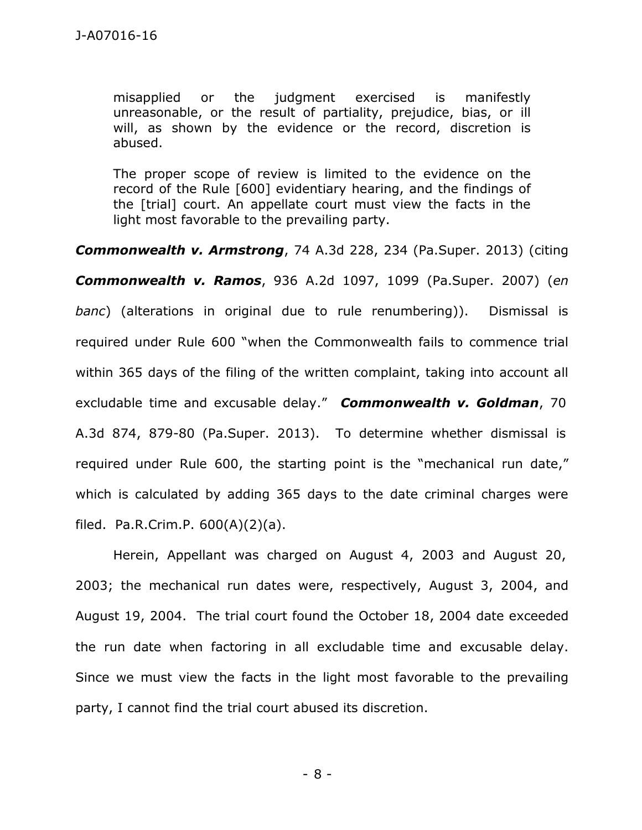misapplied or the judgment exercised is manifestly unreasonable, or the result of partiality, prejudice, bias, or ill will, as shown by the evidence or the record, discretion is abused.

The proper scope of review is limited to the evidence on the record of the Rule [600] evidentiary hearing, and the findings of the [trial] court. An appellate court must view the facts in the light most favorable to the prevailing party.

*Commonwealth v. Armstrong*, 74 A.3d 228, 234 (Pa.Super. 2013) (citing *Commonwealth v. Ramos*, 936 A.2d 1097, 1099 (Pa.Super. 2007) (*en banc*) (alterations in original due to rule renumbering)). Dismissal is required under Rule 600 "when the Commonwealth fails to commence trial within 365 days of the filing of the written complaint, taking into account all excludable time and excusable delay." *Commonwealth v. Goldman*, 70 A.3d 874, 879-80 (Pa.Super. 2013). To determine whether dismissal is required under Rule 600, the starting point is the "mechanical run date," which is calculated by adding 365 days to the date criminal charges were filed. Pa.R.Crim.P. 600(A)(2)(a).

Herein, Appellant was charged on August 4, 2003 and August 20, 2003; the mechanical run dates were, respectively, August 3, 2004, and August 19, 2004. The trial court found the October 18, 2004 date exceeded the run date when factoring in all excludable time and excusable delay. Since we must view the facts in the light most favorable to the prevailing party, I cannot find the trial court abused its discretion.

- 8 -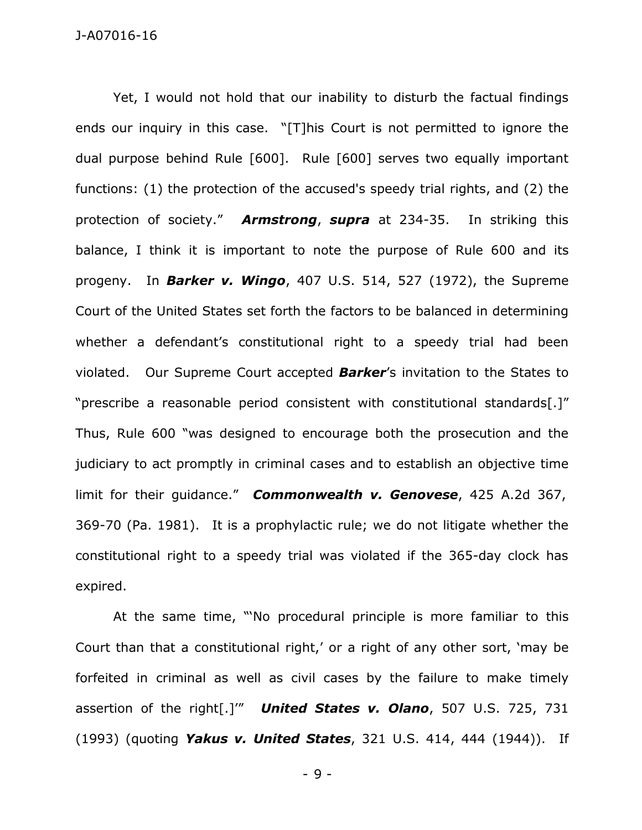Yet, I would not hold that our inability to disturb the factual findings ends our inquiry in this case. "[T]his Court is not permitted to ignore the dual purpose behind Rule [600]. Rule [600] serves two equally important functions: (1) the protection of the accused's speedy trial rights, and (2) the protection of society." *Armstrong*, *supra* at 234-35. In striking this balance, I think it is important to note the purpose of Rule 600 and its progeny. In *Barker v. Wingo*, 407 U.S. 514, 527 (1972), the Supreme Court of the United States set forth the factors to be balanced in determining whether a defendant's constitutional right to a speedy trial had been violated. Our Supreme Court accepted *Barker*'s invitation to the States to "prescribe a reasonable period consistent with constitutional standards[.]" Thus, Rule 600 "was designed to encourage both the prosecution and the judiciary to act promptly in criminal cases and to establish an objective time limit for their guidance." *Commonwealth v. Genovese*, 425 A.2d 367, 369-70 (Pa. 1981). It is a prophylactic rule; we do not litigate whether the constitutional right to a speedy trial was violated if the 365-day clock has expired.

At the same time, "'No procedural principle is more familiar to this Court than that a constitutional right,' or a right of any other sort, 'may be forfeited in criminal as well as civil cases by the failure to make timely assertion of the right[.]'" *United States v. Olano*, 507 U.S. 725, 731 (1993) (quoting *Yakus v. United States*, 321 U.S. 414, 444 (1944)). If

- 9 -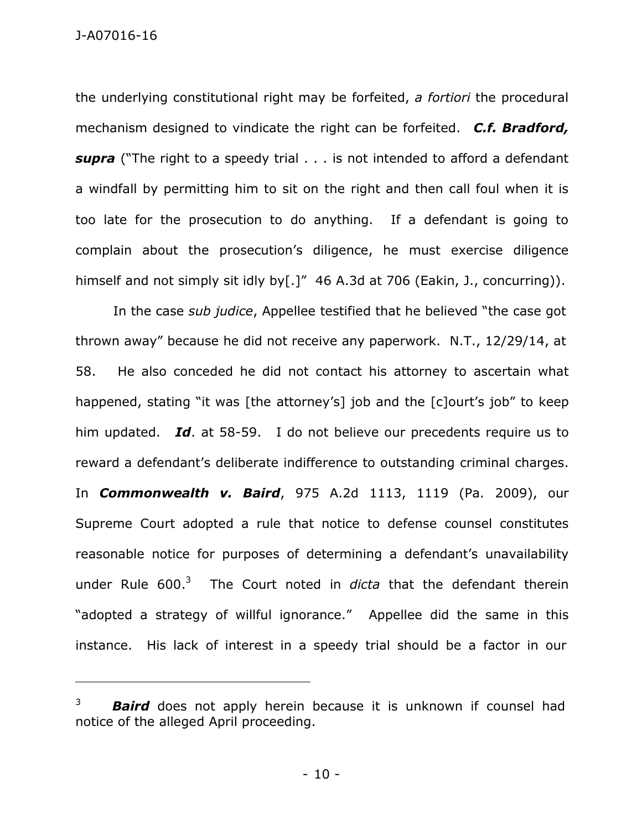J-A07016-16

the underlying constitutional right may be forfeited, *a fortiori* the procedural mechanism designed to vindicate the right can be forfeited. *C.f. Bradford, supra* ("The right to a speedy trial . . . is not intended to afford a defendant a windfall by permitting him to sit on the right and then call foul when it is too late for the prosecution to do anything. If a defendant is going to complain about the prosecution's diligence, he must exercise diligence himself and not simply sit idly by[.]" 46 A.3d at 706 (Eakin, J., concurring)).

In the case *sub judice*, Appellee testified that he believed "the case got thrown away" because he did not receive any paperwork. N.T., 12/29/14, at 58. He also conceded he did not contact his attorney to ascertain what happened, stating "it was [the attorney's] job and the [c]ourt's job" to keep him updated. *Id*. at 58-59. I do not believe our precedents require us to reward a defendant's deliberate indifference to outstanding criminal charges. In *Commonwealth v. Baird*, 975 A.2d 1113, 1119 (Pa. 2009), our Supreme Court adopted a rule that notice to defense counsel constitutes reasonable notice for purposes of determining a defendant's unavailability under Rule 600. <sup>3</sup> The Court noted in *dicta* that the defendant therein "adopted a strategy of willful ignorance." Appellee did the same in this instance. His lack of interest in a speedy trial should be a factor in our

**Baird** does not apply herein because it is unknown if counsel had notice of the alleged April proceeding.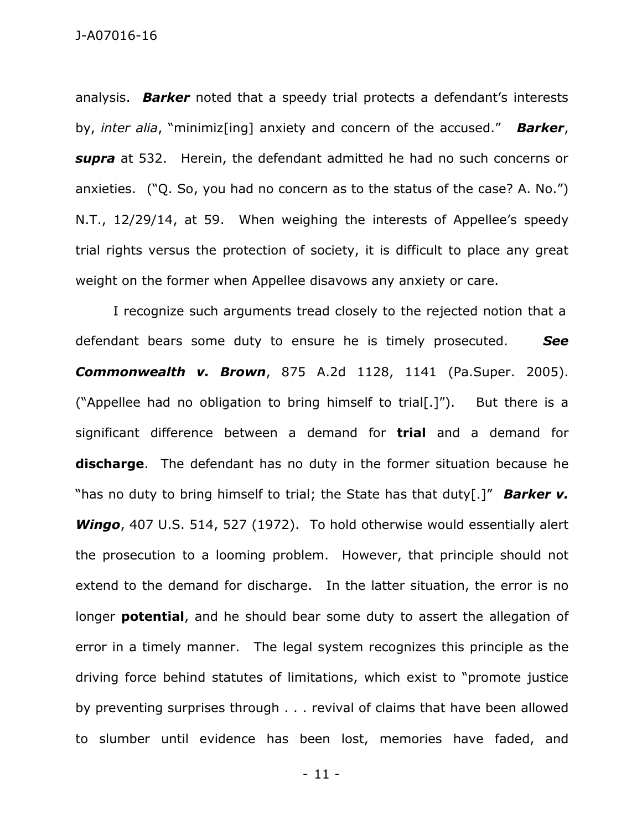## J-A07016-16

analysis. *Barker* noted that a speedy trial protects a defendant's interests by, *inter alia*, "minimiz[ing] anxiety and concern of the accused." *Barker*, *supra* at 532. Herein, the defendant admitted he had no such concerns or anxieties. ("Q. So, you had no concern as to the status of the case? A. No.") N.T., 12/29/14, at 59. When weighing the interests of Appellee's speedy trial rights versus the protection of society, it is difficult to place any great weight on the former when Appellee disavows any anxiety or care.

I recognize such arguments tread closely to the rejected notion that a defendant bears some duty to ensure he is timely prosecuted. *See Commonwealth v. Brown*, 875 A.2d 1128, 1141 (Pa.Super. 2005). ("Appellee had no obligation to bring himself to trial[.]"). But there is a significant difference between a demand for **trial** and a demand for **discharge**. The defendant has no duty in the former situation because he "has no duty to bring himself to trial; the State has that duty[.]" *Barker v. Wingo*, 407 U.S. 514, 527 (1972). To hold otherwise would essentially alert the prosecution to a looming problem. However, that principle should not extend to the demand for discharge. In the latter situation, the error is no longer **potential**, and he should bear some duty to assert the allegation of error in a timely manner. The legal system recognizes this principle as the driving force behind statutes of limitations, which exist to "promote justice by preventing surprises through . . . revival of claims that have been allowed to slumber until evidence has been lost, memories have faded, and

- 11 -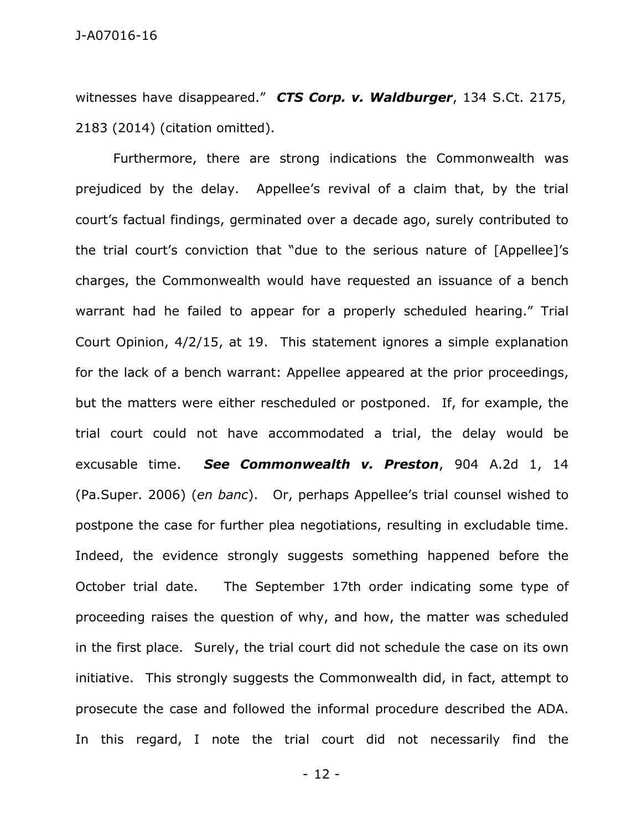witnesses have disappeared." *CTS Corp. v. Waldburger*, 134 S.Ct. 2175, 2183 (2014) (citation omitted).

Furthermore, there are strong indications the Commonwealth was prejudiced by the delay. Appellee's revival of a claim that, by the trial court's factual findings, germinated over a decade ago, surely contributed to the trial court's conviction that "due to the serious nature of [Appellee]'s charges, the Commonwealth would have requested an issuance of a bench warrant had he failed to appear for a properly scheduled hearing." Trial Court Opinion, 4/2/15, at 19. This statement ignores a simple explanation for the lack of a bench warrant: Appellee appeared at the prior proceedings, but the matters were either rescheduled or postponed. If, for example, the trial court could not have accommodated a trial, the delay would be excusable time. *See Commonwealth v. Preston*, 904 A.2d 1, 14 (Pa.Super. 2006) (*en banc*). Or, perhaps Appellee's trial counsel wished to postpone the case for further plea negotiations, resulting in excludable time. Indeed, the evidence strongly suggests something happened before the October trial date. The September 17th order indicating some type of proceeding raises the question of why, and how, the matter was scheduled in the first place. Surely, the trial court did not schedule the case on its own initiative. This strongly suggests the Commonwealth did, in fact, attempt to prosecute the case and followed the informal procedure described the ADA. In this regard, I note the trial court did not necessarily find the

- 12 -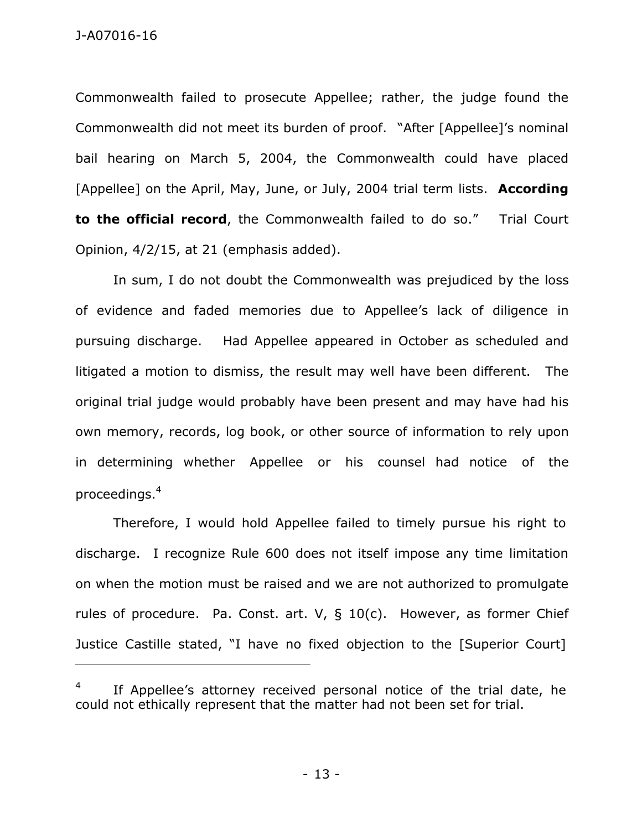Commonwealth failed to prosecute Appellee; rather, the judge found the Commonwealth did not meet its burden of proof. "After [Appellee]'s nominal bail hearing on March 5, 2004, the Commonwealth could have placed [Appellee] on the April, May, June, or July, 2004 trial term lists. **According to the official record**, the Commonwealth failed to do so." Trial Court Opinion, 4/2/15, at 21 (emphasis added).

In sum, I do not doubt the Commonwealth was prejudiced by the loss of evidence and faded memories due to Appellee's lack of diligence in pursuing discharge. Had Appellee appeared in October as scheduled and litigated a motion to dismiss, the result may well have been different. The original trial judge would probably have been present and may have had his own memory, records, log book, or other source of information to rely upon in determining whether Appellee or his counsel had notice of the proceedings. 4

Therefore, I would hold Appellee failed to timely pursue his right to discharge. I recognize Rule 600 does not itself impose any time limitation on when the motion must be raised and we are not authorized to promulgate rules of procedure. Pa. Const. art. V, § 10(c). However, as former Chief Justice Castille stated, "I have no fixed objection to the [Superior Court]

<sup>4</sup> If Appellee's attorney received personal notice of the trial date, he could not ethically represent that the matter had not been set for trial.